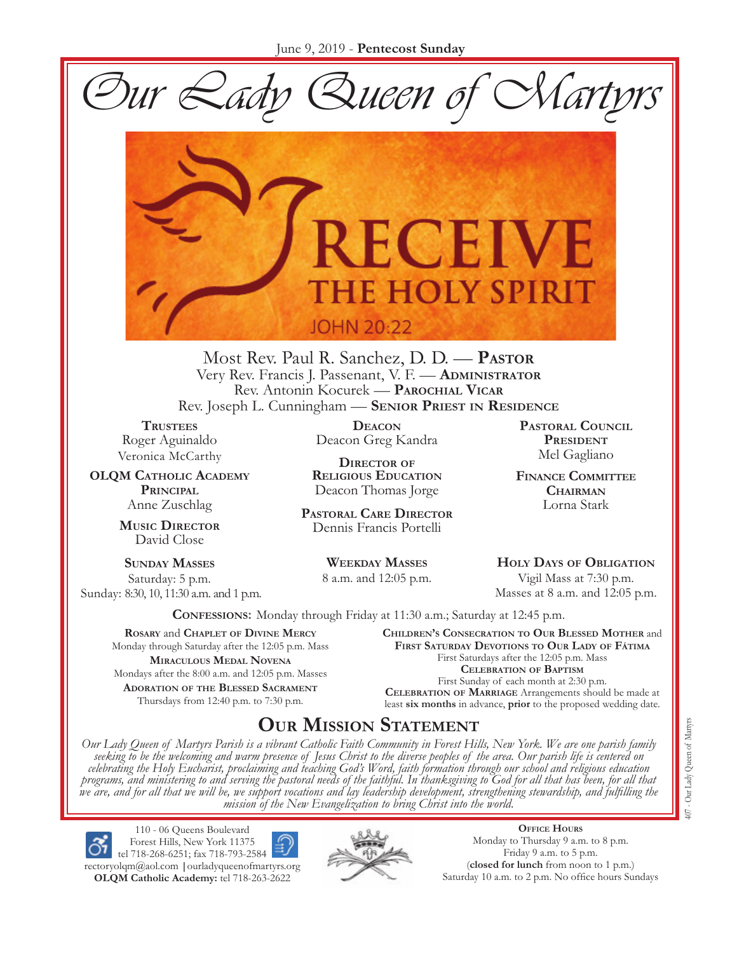Our Lady Queen of Martyrs



Most Rev. Paul R. Sanchez, D. D. — **PASTOR** Very Rev. Francis J. Passenant, V. F. — **ADMINISTRATOR** Rev. Antonin Kocurek — **PAROCHIAL VICAR** Rev. Joseph L. Cunningham — **SENIOR PRIEST IN RESIDENCE**

**TRUSTEES** Roger Aguinaldo Veronica McCarthy

**OLQM CATHOLIC ACADEMY PRINCIPAL**  Anne Zuschlag

> **MUSIC DIRECTOR** David Close

**SUNDAY MASSES** Saturday: 5 p.m. Sunday: 8:30, 10, 11:30 a.m. and 1 p.m.

**DEACON** Deacon Greg Kandra

**DIRECTOR OF RELIGIOUS EDUCATION** Deacon Thomas Jorge

**PASTORAL CARE DIRECTOR** Dennis Francis Portelli

> **WEEKDAY MASSES** 8 a.m. and 12:05 p.m.

**PASTORAL COUNCIL PRESIDENT** Mel Gagliano

**FINANCE COMMITTEE CHAIRMAN** Lorna Stark

**HOLY DAYS OF OBLIGATION** Vigil Mass at 7:30 p.m. Masses at 8 a.m. and 12:05 p.m.

**CONFESSIONS:** Monday through Friday at 11:30 a.m.; Saturday at 12:45 p.m.

**ROSARY** and **CHAPLET OF DIVINE MERCY** Monday through Saturday after the 12:05 p.m. Mass **MIRACULOUS MEDAL NOVENA** Mondays after the 8:00 a.m. and 12:05 p.m. Masses **ADORATION OF THE BLESSED SACRAMENT** Thursdays from 12:40 p.m. to 7:30 p.m.

**CHILDREN'S CONSECRATION TO OUR BLESSED MOTHER** and **FIRST SATURDAY DEVOTIONS TO OUR LADY OF FÁTIMA** First Saturdays after the 12:05 p.m. Mass **CELEBRATION OF BAPTISM** 

First Sunday of each month at 2:30 p.m. **CELEBRATION OF MARRIAGE** Arrangements should be made at least **six months** in advance, **prior** to the proposed wedding date.

# **OUR MISSION STATEMENT**

Our Lady Queen of Martyrs Parish is a vibrant Catholic Faith Community in Forest Hills, New York. We are one parish family<br>seeking to be the welcoming and warm presence of Jesus Christ to the diverse peoples of the area. O *celebrating the Holy Eucharist, proclaiming and teaching God's Word, faith formation through our school and religious education*  programs, and ministering to and serving the pastoral needs of the faithful. In thanksgiving to God for all that has been, for all that<br>we are, and for all that we will be, we support vocations and lay leadership developme *mission of the New Evangelization to bring Christ into the world.*

110 - 06 Queens Boulevard Forest Hills, New York 11375 tel 718-268-6251; fax 718-793-2584 rectoryolqm@aol.com **|**ourladyqueenofmartyrs.org **OLQM Catholic Academy:** tel 718-263-2622



**OFFICE HOURS** Monday to Thursday 9 a.m. to 8 p.m. Friday 9 a.m. to 5 p.m. (**closed for lunch** from noon to 1 p.m.) Saturday 10 a.m. to 2 p.m. No office hours Sundays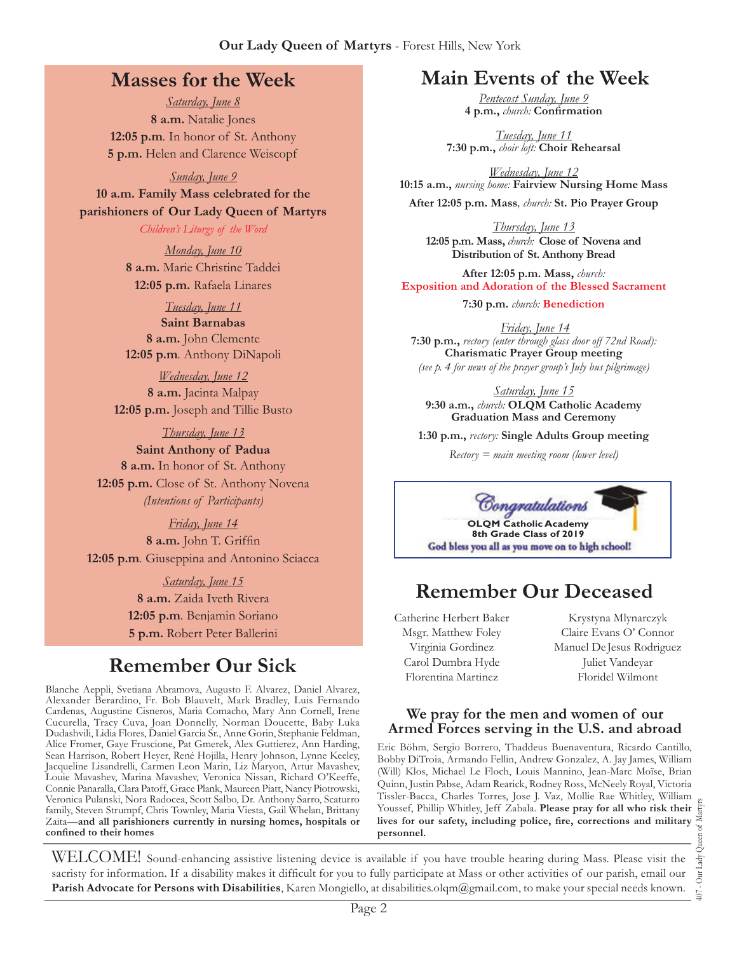## **Masses for the Week**

*Saturday, June 8*  **8 a.m.** Natalie Jones **12:05 p.m***.* In honor of St. Anthony **5 p.m.** Helen and Clarence Weiscopf

#### *Sunday, June 9*

**10 a.m. Family Mass celebrated for the parishioners of Our Lady Queen of Martyrs**

*Children's Liturgy of the Word* 

*Monday, June 10*  **8 a.m.** Marie Christine Taddei **12:05 p.m.** Rafaela Linares

*Tuesday, June 11* 

**Saint Barnabas 8 a.m.** John Clemente **12:05 p.m***.* Anthony DiNapoli

*Wednesday, June 12*  **8 a.m.** Jacinta Malpay **12:05 p.m.** Joseph and Tillie Busto

*Thursday, June 13* 

**Saint Anthony of Padua 8 a.m.** In honor of St. Anthony **12:05 p.m.** Close of St. Anthony Novena *(Intentions of Participants)*

*Friday, June 14* 

8 a.m. John T. Griffin **12:05 p.m***.* Giuseppina and Antonino Sciacca

> *Saturday, June 15*  **8 a.m.** Zaida Iveth Rivera **12:05 p.m***.* Benjamin Soriano **5 p.m.** Robert Peter Ballerini

# **Remember Our Sick**

Blanche Aeppli, Svetiana Abramova, Augusto F. Alvarez, Daniel Alvarez, Alexander Berardino, Fr. Bob Blauvelt, Mark Bradley, Luis Fernando Cardenas, Augustine Cisneros, Maria Comacho, Mary Ann Cornell, Irene Cucurella, Tracy Cuva, Joan Donnelly, Norman Doucette, Baby Luka Dudashvili, Lidia Flores, Daniel Garcia Sr., Anne Gorin, Stephanie Feldman, Alice Fromer, Gaye Fruscione, Pat Gmerek, Alex Guttierez, Ann Harding, Sean Harrison, Robert Heyer, René Hojilla, Henry Johnson, Lynne Keeley, Jacqueline Lisandrelli, Carmen Leon Marin, Liz Maryon, Artur Mavashev, Louie Mavashev, Marina Mavashev, Veronica Nissan, Richard O'Keeffe, Connie Panaralla, Clara Patoff, Grace Plank, Maureen Piatt, Nancy Piotrowski, Veronica Pulanski, Nora Radocea, Scott Salbo, Dr. Anthony Sarro, Scaturro family, Steven Strumpf, Chris Townley, Maria Viesta, Gail Whelan, Brittany Zaita—**and all parishioners currently in nursing homes, hospitals or**  confined to their homes

## **Main Events of the Week**

*Pentecost Sunday, June 9* 4 p.m., *church*: Confirmation

*Tuesday, June 11* **7:30 p.m.,** *choir loft:* **Choir Rehearsal**

*Wednesday, June 12*  **10:15 a.m.,** *nursing home:* **Fairview Nursing Home Mass**

**After 12:05 p.m. Mass***, church:* **St. Pio Prayer Group**

*Thursday, June 13*  **12:05 p.m. Mass,** *church:* **Close of Novena and Distribution of St. Anthony Bread**

**After 12:05 p.m. Mass,** *church:*  **Exposition and Adoration of the Blessed Sacrament**

**7:30 p.m.** *church:* **Benediction**

*Friday, June 14*  **7:30 p.m.,** *rectory (enter through glass door off 72nd Road):* **Charismatic Prayer Group meeting**  *(see p. 4 for news of the prayer group's July bus pilgrimage)*

*Saturday, June 15*  **9:30 a.m.,** *church:* **OLQM Catholic Academy Graduation Mass and Ceremony**

**1:30 p.m.,** *rectory:* **Single Adults Group meeting**

*Rectory = main meeting room (lower level)*



# **Remember Our Deceased**

Catherine Herbert Baker Msgr. Matthew Foley Virginia Gordinez Carol Dumbra Hyde Florentina Martinez

Krystyna Mlynarczyk Claire Evans O' Connor Manuel De Jesus Rodriguez Juliet Vandeyar Floridel Wilmont

#### **We pray for the men and women of our Armed Forces serving in the U.S. and abroad**

Eric Böhm, Sergio Borrero, Thaddeus Buenaventura, Ricardo Cantillo, Bobby DiTroia, Armando Fellin, Andrew Gonzalez, A. Jay James, William (Will) Klos, Michael Le Floch, Louis Mannino, Jean-Marc Moïse, Brian Quinn, Justin Pabse, Adam Rearick, Rodney Ross, McNeely Royal, Victoria Tissler-Bacca, Charles Torres, Jose J. Vaz, Mollie Rae Whitley, William Youssef, Phillip Whitley, Jeff Zabala. **Please pray for all who risk their**  lives for our safety, including police, fire, corrections and military **personnel.**

407 - Our Lady Queen of Martyrs Our Lady  $\overline{407}$  .

WELCOME! Sound-enhancing assistive listening device is available if you have trouble hearing during Mass. Please visit the sacristy for information. If a disability makes it difficult for you to fully participate at Mass or other activities of our parish, email our **Parish Advocate for Persons with Disabilities**, Karen Mongiello, at disabilities.olqm@gmail.com, to make your special needs known.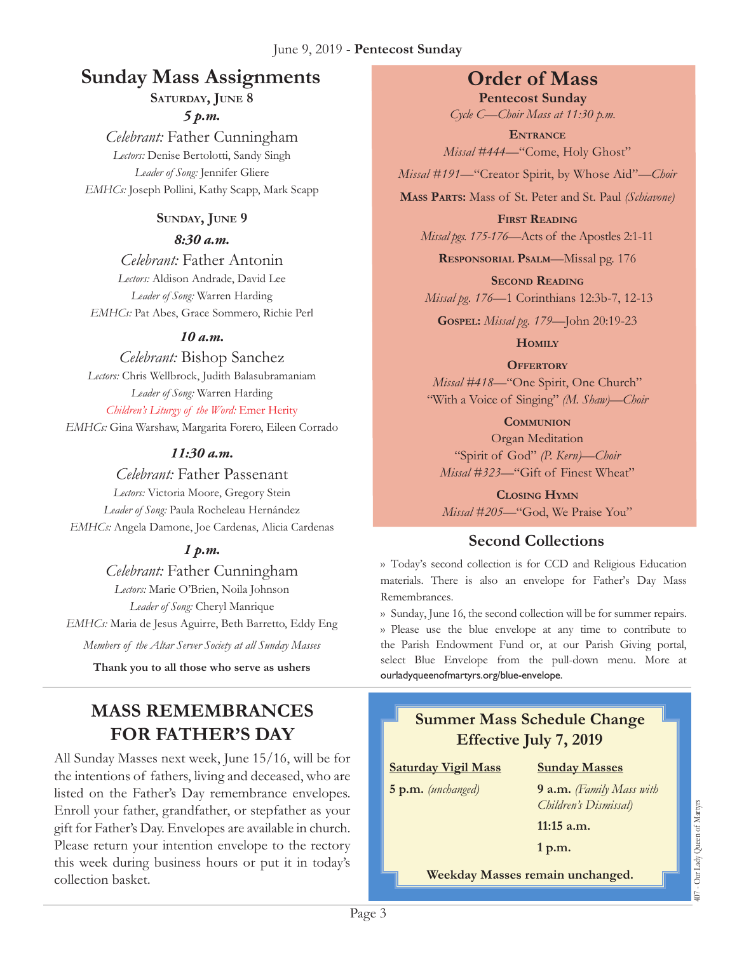#### June 9, 2019 - **Pentecost Sunday**

# **Sunday Mass Assignments Order of Mass**

**SATURDAY, JUNE 8** 

*5 p.m.* 

*Celebrant:* Father Cunningham *Lectors:* Denise Bertolotti, Sandy Singh *Leader of Song:* Jennifer Gliere *EMHCs:* Joseph Pollini, Kathy Scapp, Mark Scapp

#### **SUNDAY, JUNE 9**

#### *8:30 a.m.*

*Celebrant:* Father Antonin *Lectors:* Aldison Andrade, David Lee *Leader of Song:* Warren Harding *EMHCs:* Pat Abes, Grace Sommero, Richie Perl

#### *10 a.m.*

*Celebrant:* Bishop Sanchez *Lectors:* Chris Wellbrock, Judith Balasubramaniam *Leader of Song:* Warren Harding *Children's Liturgy of the Word:* Emer Herity *EMHCs:* Gina Warshaw, Margarita Forero, Eileen Corrado

#### *11:30 a.m.*

*Celebrant:* Father Passenant *Lectors:* Victoria Moore, Gregory Stein *Leader of Song:* Paula Rocheleau Hernández *EMHCs:* Angela Damone, Joe Cardenas, Alicia Cardenas

### *1 p.m.*

*Celebrant:* Father Cunningham

*Lectors:* Marie O'Brien, Noila Johnson *Leader of Song:* Cheryl Manrique *EMHCs:* Maria de Jesus Aguirre, Beth Barretto, Eddy Eng

*Members of the Altar Server Society at all Sunday Masses*

**Thank you to all those who serve as ushers**

## **MASS REMEMBRANCES FOR FATHER'S DAY**

All Sunday Masses next week, June 15/16, will be for the intentions of fathers, living and deceased, who are listed on the Father's Day remembrance envelopes. Enroll your father, grandfather, or stepfather as your gift for Father's Day. Envelopes are available in church. Please return your intention envelope to the rectory this week during business hours or put it in today's collection basket.

**Pentecost Sunday**  *Cycle C—Choir Mass at 11:30 p.m.* 

**ENTRANCE** *Missal #444—*"Come, Holy Ghost"

*Missal #191—*"Creator Spirit, by Whose Aid"*—Choir*

**MASS PARTS:** Mass of St. Peter and St. Paul *(Schiavone)*

**FIRST READING** *Missal pgs. 175-176—*Acts of the Apostles 2:1-11

**RESPONSORIAL PSALM**—Missal pg. 176

**SECOND READING** *Missal pg. 176—*1 Corinthians 12:3b-7, 12-13

**GOSPEL:** *Missal pg. 179—*John 20:19-23

**HOMILY**

**OFFERTORY**

*Missal #418—*"One Spirit, One Church" "With a Voice of Singing" *(M. Shaw)—Choir* 

**COMMUNION**

Organ Meditation "Spirit of God" *(P. Kern)—Choir Missal #323—*"Gift of Finest Wheat"

**CLOSING HYMN** *Missal #205*—"God, We Praise You"

## **Second Collections**

›› Today's second collection is for CCD and Religious Education materials. There is also an envelope for Father's Day Mass Remembrances.

›› Sunday, June 16, the second collection will be for summer repairs. ›› Please use the blue envelope at any time to contribute to the Parish Endowment Fund or, at our Parish Giving portal, select Blue Envelope from the pull-down menu. More at ourladyqueenofmartyrs.org/blue-envelope.

# **Summer Mass Schedule Change Effective July 7, 2019**

#### **Saturday Vigil Mass**

**5 p.m.** *(unchanged)*

**Sunday Masses 9 a.m.** *(Family Mass with* 

*Children's Dismissal)*

407 - Our Lady Queen of Martyrs

407 - Our Lady Queen of Martyrs

**11:15 a.m. 1 p.m.**

**Weekday Masses remain unchanged.**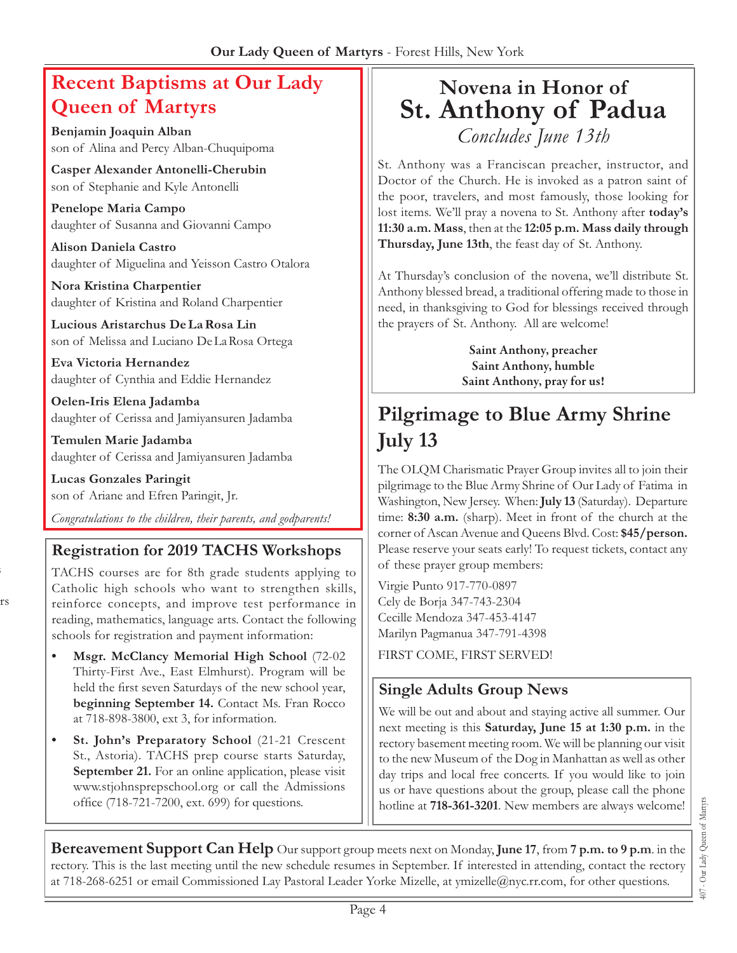# **Recent Baptisms at Our Lady Queen of Martyrs**

**Benjamin Joaquin Alban** son of Alina and Percy Alban-Chuquipoma

**Casper Alexander Antonelli-Cherubin** son of Stephanie and Kyle Antonelli

**Penelope Maria Campo** daughter of Susanna and Giovanni Campo

**Alison Daniela Castro** daughter of Miguelina and Yeisson Castro Otalora

**Nora Kristina Charpentier** daughter of Kristina and Roland Charpentier

**Lucious Aristarchus De La Rosa Lin** son of Melissa and Luciano De La Rosa Ortega

**Eva Victoria Hernandez** daughter of Cynthia and Eddie Hernandez

**Oelen-Iris Elena Jadamba** daughter of Cerissa and Jamiyansuren Jadamba

**Temulen Marie Jadamba** daughter of Cerissa and Jamiyansuren Jadamba

**Lucas Gonzales Paringit** son of Ariane and Efren Paringit, Jr.

s

rs

*Congratulations to the children, their parents, and godparents!*

## **Registration for 2019 TACHS Workshops**

TACHS courses are for 8th grade students applying to Catholic high schools who want to strengthen skills, reinforce concepts, and improve test performance in reading, mathematics, language arts. Contact the following schools for registration and payment information:

- **Msgr. McClancy Memorial High School** (72-02 Thirty-First Ave., East Elmhurst). Program will be held the first seven Saturdays of the new school year, **beginning September 14.** Contact Ms. Fran Rocco at 718-898-3800, ext 3, for information.
- **St. John's Preparatory School** (21-21 Crescent St., Astoria). TACHS prep course starts Saturday, **September 21.** For an online application, please visit www.stjohnsprepschool.org or call the Admissions office (718-721-7200, ext. 699) for questions.

# **Novena in Honor of St. Anthony of Padua**  *Concludes June 13th*

St. Anthony was a Franciscan preacher, instructor, and Doctor of the Church. He is invoked as a patron saint of the poor, travelers, and most famously, those looking for lost items. We'll pray a novena to St. Anthony after **today's 11:30 a.m. Mass**, then at the **12:05 p.m. Mass daily through Thursday, June 13th**, the feast day of St. Anthony.

At Thursday's conclusion of the novena, we'll distribute St. Anthony blessed bread, a traditional offering made to those in need, in thanksgiving to God for blessings received through the prayers of St. Anthony. All are welcome!

> **Saint Anthony, preacher Saint Anthony, humble Saint Anthony, pray for us!**

# **Pilgrimage to Blue Army Shrine July 13**

The OLQM Charismatic Prayer Group invites all to join their pilgrimage to the Blue Army Shrine of Our Lady of Fatima in Washington, New Jersey. When: **July 13** (Saturday). Departure time: **8:30 a.m.** (sharp). Meet in front of the church at the corner of Ascan Avenue and Queens Blvd. Cost: **\$45/person.** Please reserve your seats early! To request tickets, contact any of these prayer group members:

Virgie Punto 917-770-0897 Cely de Borja 347-743-2304 Cecille Mendoza 347-453-4147 Marilyn Pagmanua 347-791-4398 FIRST COME, FIRST SERVED!

**Single Adults Group News**

We will be out and about and staying active all summer. Our next meeting is this **Saturday, June 15 at 1:30 p.m.** in the rectory basement meeting room. We will be planning our visit to the new Museum of the Dog in Manhattan as well as other day trips and local free concerts. If you would like to join us or have questions about the group, please call the phone hotline at **718-361-3201**. New members are always welcome!

**Bereavement Support Can Help** Our support group meets next on Monday, **June 17**, from **7 p.m. to 9 p.m**. in the rectory. This is the last meeting until the new schedule resumes in September. If interested in attending, contact the rectory at 718-268-6251 or email Commissioned Lay Pastoral Leader Yorke Mizelle, at ymizelle@nyc.rr.com, for other questions.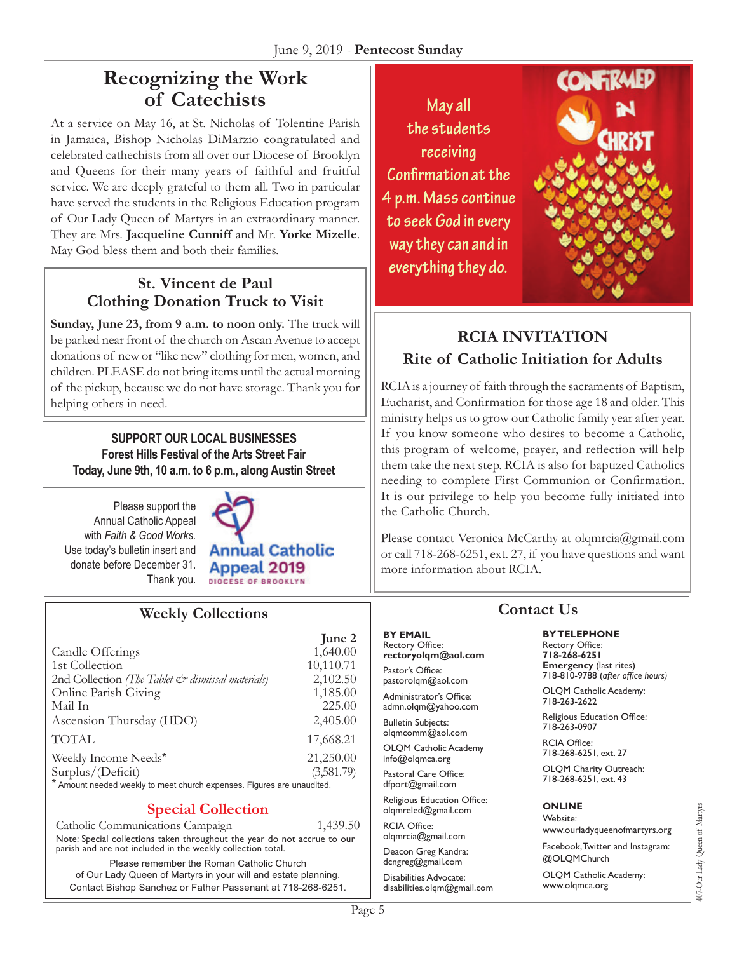# **Recognizing the Work of Catechists**

At a service on May 16, at St. Nicholas of Tolentine Parish in Jamaica, Bishop Nicholas DiMarzio congratulated and celebrated cathechists from all over our Diocese of Brooklyn and Queens for their many years of faithful and fruitful service. We are deeply grateful to them all. Two in particular have served the students in the Religious Education program of Our Lady Queen of Martyrs in an extraordinary manner. They are Mrs. **Jacqueline Cunniff** and Mr. **Yorke Mizelle**. May God bless them and both their families.

## **St. Vincent de Paul Clothing Donation Truck to Visit**

Sunday, June 23, from 9 a.m. to noon only. The truck will be parked near front of the church on Ascan Avenue to accept donations of new or "like new" clothing for men, women, and children. PLEASE do not bring items until the actual morning of the pickup, because we do not have storage. Thank you for helping others in need.

**SUPPORT OUR LOCAL BUSINESSES Forest Hills Festival of the Arts Street Fair Today, June 9th, 10 a.m. to 6 p.m., along Austin Street**

Please support the Annual Catholic Appeal with *Faith & Good Works.*  Use today's bulletin insert and donate before December 31. Thank you.



## **Weekly Collections**

|                                                                        | June 2     |
|------------------------------------------------------------------------|------------|
| Candle Offerings                                                       | 1,640.00   |
| 1st Collection                                                         | 10,110.71  |
| 2nd Collection (The Tablet & dismissal materials)                      | 2,102.50   |
| Online Parish Giving                                                   | 1,185.00   |
| Mail In                                                                | 225.00     |
| Ascension Thursday (HDO)                                               | 2,405.00   |
| <b>TOTAL</b>                                                           | 17,668.21  |
| Weekly Income Needs*                                                   | 21,250.00  |
| Surplus/(Deficit)                                                      | (3,581.79) |
| * Amount needed weekly to meet church expenses. Figures are unaudited. |            |

#### **Special Collection**

Catholic Communications Campaign 1,439.50 Note: Special collections taken throughout the year do not accrue to our parish and are not included in the weekly collection total.

Please remember the Roman Catholic Church of Our Lady Queen of Martyrs in your will and estate planning. Contact Bishop Sanchez or Father Passenant at 718-268-6251.

May all the students receiving Confirmation at the 4 p.m. Mass continue to seek God in every way they can and in everything they do.



## **RCIA INVITATION Rite of Catholic Initiation for Adults**

RCIA is a journey of faith through the sacraments of Baptism, Eucharist, and Confirmation for those age 18 and older. This ministry helps us to grow our Catholic family year after year. If you know someone who desires to become a Catholic, this program of welcome, prayer, and reflection will help them take the next step. RCIA is also for baptized Catholics needing to complete First Communion or Confirmation. It is our privilege to help you become fully initiated into the Catholic Church.

Please contact Veronica McCarthy at olqmrcia@gmail.com or call 718-268-6251, ext. 27, if you have questions and want more information about RCIA.

## **Contact Us**

#### **BY TELEPHONE** Rectory Office: **718-268-6251**

**Emergency** (last rites)  $718 - 810 - 9788$  (after office hours)

OLQM Catholic Academy: 718-263-2622

Religious Education Office: 718-263-0907

RCIA Office: 718-268-6251, ext. 27

OLQM Charity Outreach: 718-268-6251, ext. 43

#### **ONLINE**

Wehsite<sup>®</sup> www.ourladyqueenofmartyrs.org

Facebook, Twitter and Instagram: @OLQMChurch

OLQM Catholic Academy: www.olqmca.org

**BY EMAIL**

Pastor's Office: pastorolqm@aol.com Administrator's Office: admn.olqm@yahoo.com **Bulletin Subjects:** olqmcomm@aol.com OLQM Catholic Academy info@olqmca.org Pastoral Care Office: dfport@gmail.com Religious Education Office: olqmreled@gmail.com

RCIA Office: olqmrcia@gmail.com Deacon Greg Kandra: dcngreg@gmail.com Disabilities Advocate: disabilities.olqm@gmail.com

Rectory Office: **rectoryolqm@aol.com**